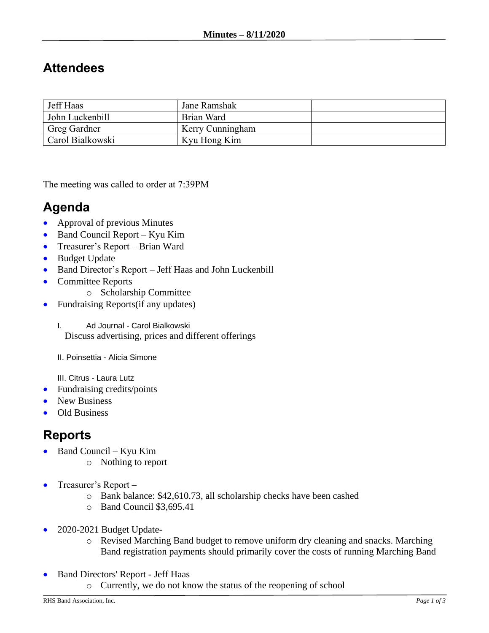## **Attendees**

| Jeff Haas        | Jane Ramshak     |  |
|------------------|------------------|--|
| John Luckenbill  | Brian Ward       |  |
| Greg Gardner     | Kerry Cunningham |  |
| Carol Bialkowski | Kyu Hong Kim     |  |

The meeting was called to order at 7:39PM

## **Agenda**

- Approval of previous Minutes
- Band Council Report Kyu Kim
- Treasurer's Report Brian Ward
- Budget Update
- Band Director's Report Jeff Haas and John Luckenbill
- Committee Reports
	- o Scholarship Committee
- Fundraising Reports (if any updates)

I. Ad Journal - Carol Bialkowski Discuss advertising, prices and different offerings

II. Poinsettia - Alicia Simone

III. Citrus - Laura Lutz

- Fundraising credits/points
- New Business
- Old Business

## **Reports**

- Band Council Kyu Kim
	- o Nothing to report
- Treasurer's Report
	- o Bank balance: \$42,610.73, all scholarship checks have been cashed
	- o Band Council \$3,695.41
- 2020-2021 Budget Update
	- o Revised Marching Band budget to remove uniform dry cleaning and snacks. Marching Band registration payments should primarily cover the costs of running Marching Band
- Band Directors' Report Jeff Haas
	- o Currently, we do not know the status of the reopening of school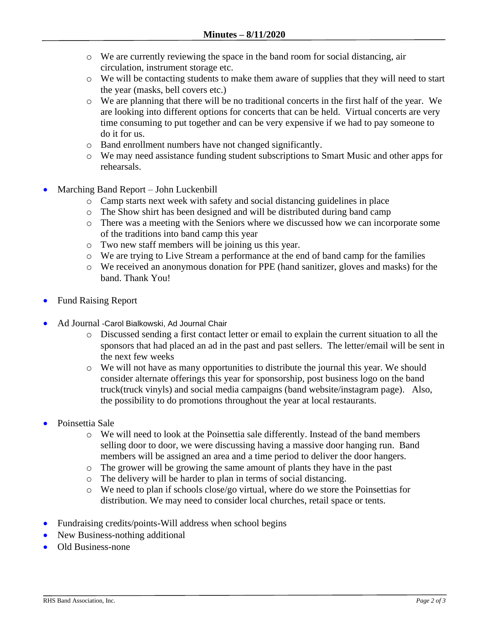- o We are currently reviewing the space in the band room for social distancing, air circulation, instrument storage etc.
- o We will be contacting students to make them aware of supplies that they will need to start the year (masks, bell covers etc.)
- o We are planning that there will be no traditional concerts in the first half of the year. We are looking into different options for concerts that can be held. Virtual concerts are very time consuming to put together and can be very expensive if we had to pay someone to do it for us.
- o Band enrollment numbers have not changed significantly.
- o We may need assistance funding student subscriptions to Smart Music and other apps for rehearsals.
- Marching Band Report John Luckenbill
	- o Camp starts next week with safety and social distancing guidelines in place
	- o The Show shirt has been designed and will be distributed during band camp
	- o There was a meeting with the Seniors where we discussed how we can incorporate some of the traditions into band camp this year
	- o Two new staff members will be joining us this year.
	- o We are trying to Live Stream a performance at the end of band camp for the families
	- o We received an anonymous donation for PPE (hand sanitizer, gloves and masks) for the band. Thank You!
- Fund Raising Report
- Ad Journal -Carol Bialkowski, Ad Journal Chair
	- o Discussed sending a first contact letter or email to explain the current situation to all the sponsors that had placed an ad in the past and past sellers. The letter/email will be sent in the next few weeks
	- o We will not have as many opportunities to distribute the journal this year. We should consider alternate offerings this year for sponsorship, post business logo on the band truck(truck vinyls) and social media campaigns (band website/instagram page). Also, the possibility to do promotions throughout the year at local restaurants.
- Poinsettia Sale
	- o We will need to look at the Poinsettia sale differently. Instead of the band members selling door to door, we were discussing having a massive door hanging run. Band members will be assigned an area and a time period to deliver the door hangers.
	- o The grower will be growing the same amount of plants they have in the past
	- o The delivery will be harder to plan in terms of social distancing.
	- o We need to plan if schools close/go virtual, where do we store the Poinsettias for distribution. We may need to consider local churches, retail space or tents.
- Fundraising credits/points-Will address when school begins
- New Business-nothing additional
- Old Business-none